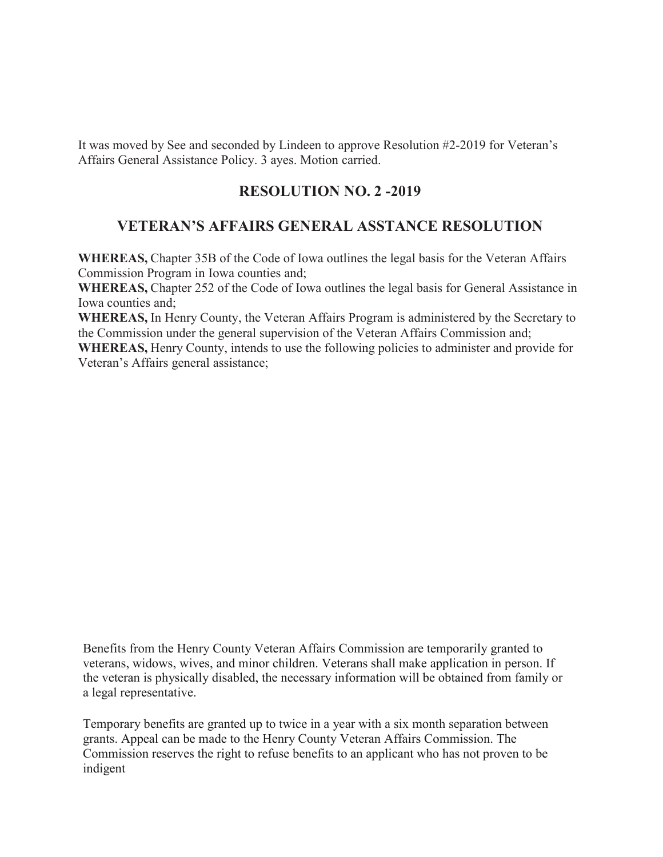It was moved by See and seconded by Lindeen to approve Resolution #2-2019 for Veteran's Affairs General Assistance Policy. 3 ayes. Motion carried.

# **RESOLUTION NO. 2 -2019**

## **VETERAN'S AFFAIRS GENERAL ASSTANCE RESOLUTION**

**WHEREAS,** Chapter 35B of the Code of Iowa outlines the legal basis for the Veteran Affairs Commission Program in Iowa counties and;

**WHEREAS,** Chapter 252 of the Code of Iowa outlines the legal basis for General Assistance in Iowa counties and;

**WHEREAS,** In Henry County, the Veteran Affairs Program is administered by the Secretary to the Commission under the general supervision of the Veteran Affairs Commission and;

**WHEREAS,** Henry County, intends to use the following policies to administer and provide for Veteran's Affairs general assistance;

Benefits from the Henry County Veteran Affairs Commission are temporarily granted to veterans, widows, wives, and minor children. Veterans shall make application in person. If the veteran is physically disabled, the necessary information will be obtained from family or a legal representative.

Temporary benefits are granted up to twice in a year with a six month separation between grants. Appeal can be made to the Henry County Veteran Affairs Commission. The Commission reserves the right to refuse benefits to an applicant who has not proven to be indigent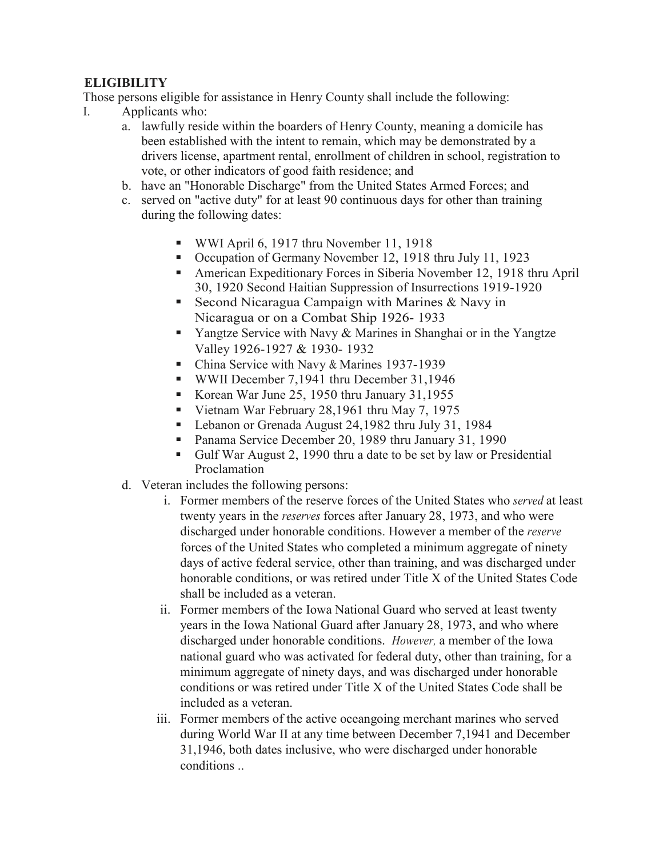# **ELIGIBILITY**

Those persons eligible for assistance in Henry County shall include the following:

- I. Applicants who:
	- a. lawfully reside within the boarders of Henry County, meaning a domicile has been established with the intent to remain, which may be demonstrated by a drivers license, apartment rental, enrollment of children in school, registration to vote, or other indicators of good faith residence; and
	- b. have an "Honorable Discharge" from the United States Armed Forces; and
	- c. served on "active duty" for at least 90 continuous days for other than training during the following dates:
		- WWI April 6, 1917 thru November 11, 1918
		- Occupation of Germany November 12, 1918 thru July 11, 1923
		- American Expeditionary Forces in Siberia November 12, 1918 thru April 30, 1920 Second Haitian Suppression of Insurrections 1919-1920
		- Second Nicaragua Campaign with Marines  $&$  Navy in Nicaragua or on a Combat Ship 1926- 1933
		- **Tangtze Service with Navy & Marines in Shanghai or in the Yangtze** Valley 1926-1927 & 1930- 1932
		- China Service with Navy & Marines 1937-1939
		- WWII December 7,1941 thru December 31,1946
		- Korean War June 25, 1950 thru January 31,1955
		- Vietnam War February 28,1961 thru May 7, 1975
		- Lebanon or Grenada August 24,1982 thru July 31, 1984
		- Panama Service December 20, 1989 thru January 31, 1990
		- Gulf War August 2, 1990 thru a date to be set by law or Presidential Proclamation
	- d. Veteran includes the following persons:
		- i. Former members of the reserve forces of the United States who *served* at least twenty years in the *reserves* forces after January 28, 1973, and who were discharged under honorable conditions. However a member of the *reserve* forces of the United States who completed a minimum aggregate of ninety days of active federal service, other than training, and was discharged under honorable conditions, or was retired under Title X of the United States Code shall be included as a veteran.
		- ii. Former members of the Iowa National Guard who served at least twenty years in the Iowa National Guard after January 28, 1973, and who where discharged under honorable conditions. *However,* a member of the Iowa national guard who was activated for federal duty, other than training, for a minimum aggregate of ninety days, and was discharged under honorable conditions or was retired under Title X of the United States Code shall be included as a veteran.
		- iii. Former members of the active oceangoing merchant marines who served during World War II at any time between December 7,1941 and December 31,1946, both dates inclusive, who were discharged under honorable conditions ..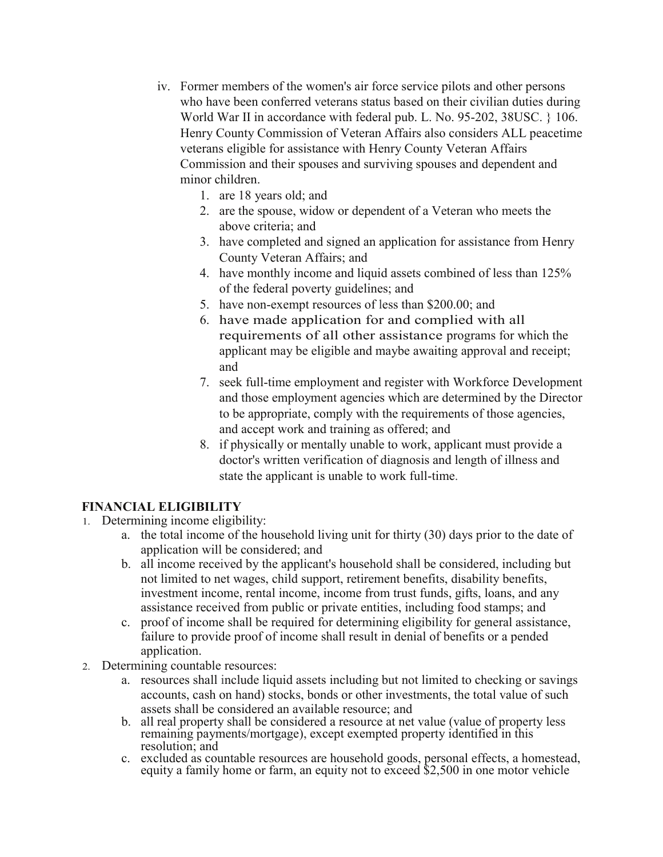- iv. Former members of the women's air force service pilots and other persons who have been conferred veterans status based on their civilian duties during World War II in accordance with federal pub. L. No. 95-202, 38USC. } 106. Henry County Commission of Veteran Affairs also considers ALL peacetime veterans eligible for assistance with Henry County Veteran Affairs Commission and their spouses and surviving spouses and dependent and minor children.
	- 1. are 18 years old; and
	- 2. are the spouse, widow or dependent of a Veteran who meets the above criteria; and
	- 3. have completed and signed an application for assistance from Henry County Veteran Affairs; and
	- 4. have monthly income and liquid assets combined of less than 125% of the federal poverty guidelines; and
	- 5. have non-exempt resources of less than \$200.00; and
	- 6. have made application for and complied with all requirements of all other assistance programs for which the applicant may be eligible and maybe awaiting approval and receipt; and
	- 7. seek full-time employment and register with Workforce Development and those employment agencies which are determined by the Director to be appropriate, comply with the requirements of those agencies, and accept work and training as offered; and
	- 8. if physically or mentally unable to work, applicant must provide a doctor's written verification of diagnosis and length of illness and state the applicant is unable to work full-time.

## **FINANCIAL ELIGIBILITY**

- 1. Determining income eligibility:
	- a. the total income of the household living unit for thirty (30) days prior to the date of application will be considered; and
	- b. all income received by the applicant's household shall be considered, including but not limited to net wages, child support, retirement benefits, disability benefits, investment income, rental income, income from trust funds, gifts, loans, and any assistance received from public or private entities, including food stamps; and
	- c. proof of income shall be required for determining eligibility for general assistance, failure to provide proof of income shall result in denial of benefits or a pended application.
- 2. Determining countable resources:
	- a. resources shall include liquid assets including but not limited to checking or savings accounts, cash on hand) stocks, bonds or other investments, the total value of such assets shall be considered an available resource; and
	- b. all real property shall be considered a resource at net value (value of property less remaining payments/mortgage), except exempted property identified in this resolution; and
	- c. excluded as countable resources are household goods, personal effects, a homestead, equity a family home or farm, an equity not to exceed \$2,500 in one motor vehicle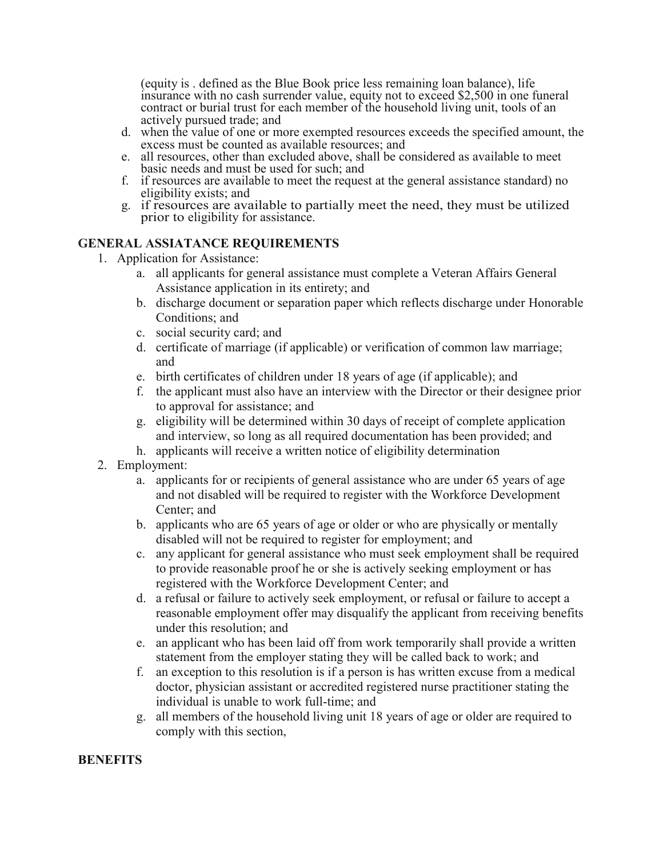(equity is . defined as the Blue Book price less remaining loan balance), life insurance with no cash surrender value, equity not to exceed \$2,500 in one funeral contract or burial trust for each member of the household living unit, tools of an actively pursued trade; and

- d. when the value of one or more exempted resources exceeds the specified amount, the excess must be counted as available resources; and
- e. all resources, other than excluded above, shall be considered as available to meet basic needs and must be used for such; and
- f. if resources are available to meet the request at the general assistance standard) no eligibility exists; and
- g. if resources are available to partially meet the need, they must be utilized prior to eligibility for assistance.

#### **GENERAL ASSIATANCE REQUIREMENTS**

- 1. Application for Assistance:
	- a. all applicants for general assistance must complete a Veteran Affairs General Assistance application in its entirety; and
	- b. discharge document or separation paper which reflects discharge under Honorable Conditions; and
	- c. social security card; and
	- d. certificate of marriage (if applicable) or verification of common law marriage; and
	- e. birth certificates of children under 18 years of age (if applicable); and
	- f. the applicant must also have an interview with the Director or their designee prior to approval for assistance; and
	- g. eligibility will be determined within 30 days of receipt of complete application and interview, so long as all required documentation has been provided; and
	- h. applicants will receive a written notice of eligibility determination
- 2. Employment:
	- a. applicants for or recipients of general assistance who are under 65 years of age and not disabled will be required to register with the Workforce Development Center; and
	- b. applicants who are 65 years of age or older or who are physically or mentally disabled will not be required to register for employment; and
	- c. any applicant for general assistance who must seek employment shall be required to provide reasonable proof he or she is actively seeking employment or has registered with the Workforce Development Center; and
	- d. a refusal or failure to actively seek employment, or refusal or failure to accept a reasonable employment offer may disqualify the applicant from receiving benefits under this resolution; and
	- e. an applicant who has been laid off from work temporarily shall provide a written statement from the employer stating they will be called back to work; and
	- f. an exception to this resolution is if a person is has written excuse from a medical doctor, physician assistant or accredited registered nurse practitioner stating the individual is unable to work full-time; and
	- g. all members of the household living unit 18 years of age or older are required to comply with this section,

#### **BENEFITS**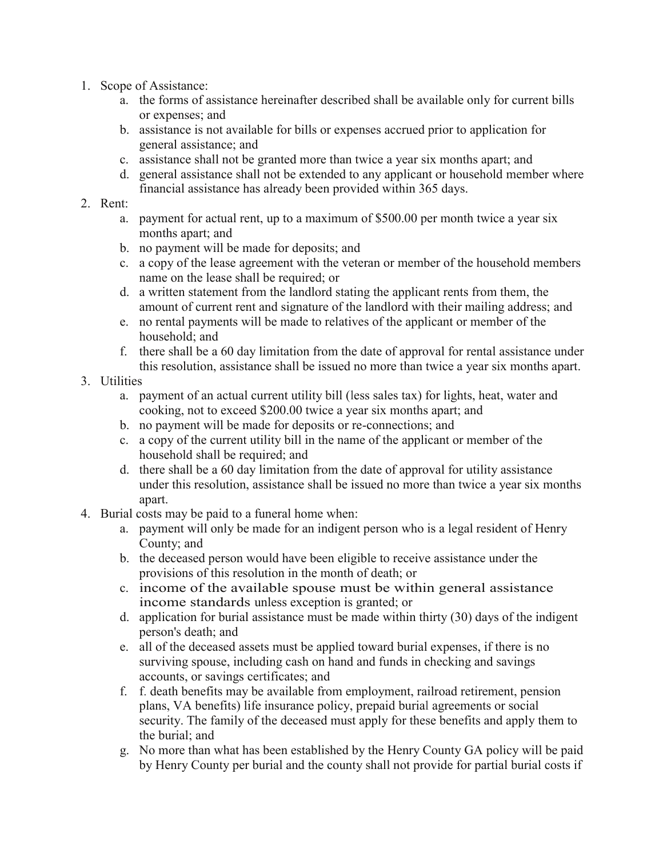- 1. Scope of Assistance:
	- a. the forms of assistance hereinafter described shall be available only for current bills or expenses; and
	- b. assistance is not available for bills or expenses accrued prior to application for general assistance; and
	- c. assistance shall not be granted more than twice a year six months apart; and
	- d. general assistance shall not be extended to any applicant or household member where financial assistance has already been provided within 365 days.

#### 2. Rent:

- a. payment for actual rent, up to a maximum of \$500.00 per month twice a year six months apart; and
- b. no payment will be made for deposits; and
- c. a copy of the lease agreement with the veteran or member of the household members name on the lease shall be required; or
- d. a written statement from the landlord stating the applicant rents from them, the amount of current rent and signature of the landlord with their mailing address; and
- e. no rental payments will be made to relatives of the applicant or member of the household; and
- f. there shall be a 60 day limitation from the date of approval for rental assistance under this resolution, assistance shall be issued no more than twice a year six months apart.

### 3. Utilities

- a. payment of an actual current utility bill (less sales tax) for lights, heat, water and cooking, not to exceed \$200.00 twice a year six months apart; and
- b. no payment will be made for deposits or re-connections; and
- c. a copy of the current utility bill in the name of the applicant or member of the household shall be required; and
- d. there shall be a 60 day limitation from the date of approval for utility assistance under this resolution, assistance shall be issued no more than twice a year six months apart.
- 4. Burial costs may be paid to a funeral home when:
	- a. payment will only be made for an indigent person who is a legal resident of Henry County; and
	- b. the deceased person would have been eligible to receive assistance under the provisions of this resolution in the month of death; or
	- c. income of the available spouse must be within general assistance income standards unless exception is granted; or
	- d. application for burial assistance must be made within thirty (30) days of the indigent person's death; and
	- e. all of the deceased assets must be applied toward burial expenses, if there is no surviving spouse, including cash on hand and funds in checking and savings accounts, or savings certificates; and
	- f. f. death benefits may be available from employment, railroad retirement, pension plans, VA benefits) life insurance policy, prepaid burial agreements or social security. The family of the deceased must apply for these benefits and apply them to the burial; and
	- g. No more than what has been established by the Henry County GA policy will be paid by Henry County per burial and the county shall not provide for partial burial costs if